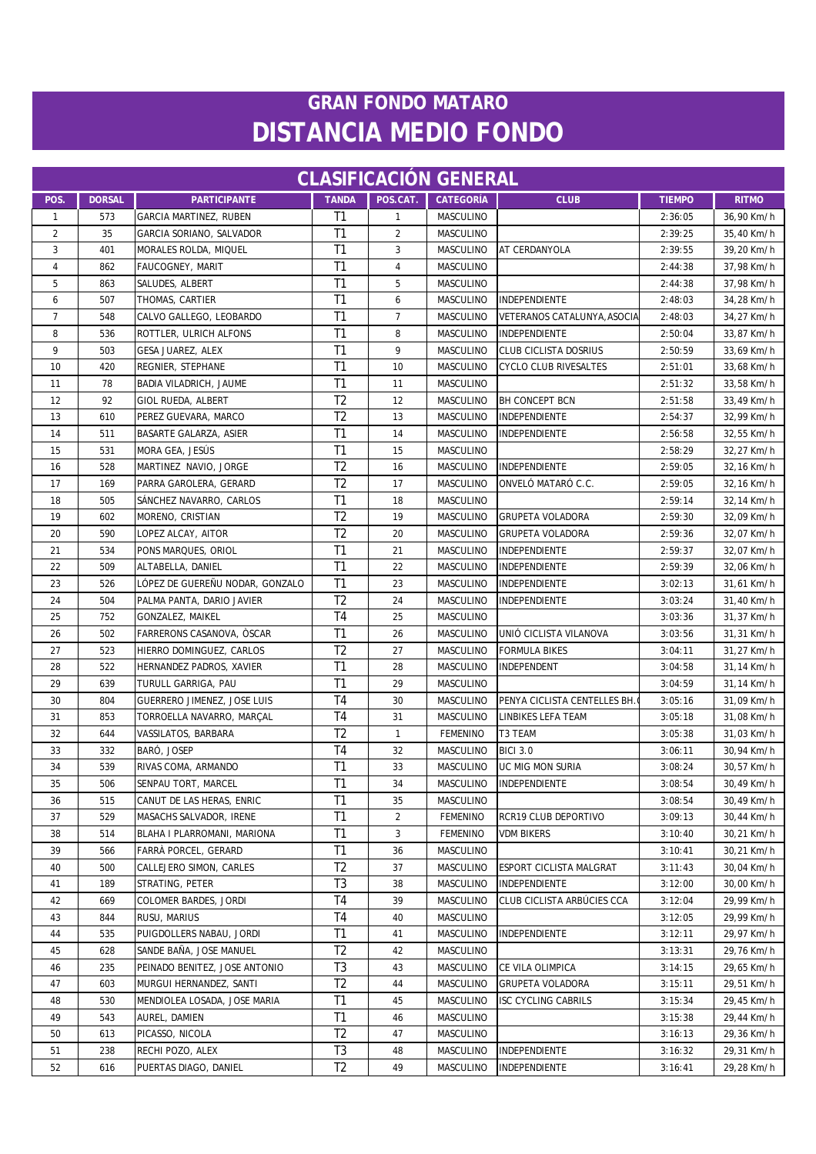| <b>CLASIFICACION GENERAL</b> |               |                                 |                |                |                  |                              |               |              |
|------------------------------|---------------|---------------------------------|----------------|----------------|------------------|------------------------------|---------------|--------------|
| POS.                         | <b>DORSAL</b> | <b>PARTICIPANTE</b>             | <b>TANDA</b>   | POS.CAT.       | <b>CATEGORÍA</b> | <b>CLUB</b>                  | <b>TIEMPO</b> | <b>RITMO</b> |
| $\mathbf{1}$                 | 573           | GARCIA MARTINEZ, RUBEN          | T <sub>1</sub> | $\mathbf{1}$   | MASCULINO        |                              | 2:36:05       | 36,90 Km/h   |
| $\overline{2}$               | 35            | GARCIA SORIANO, SALVADOR        | T1             | $\overline{2}$ | MASCULINO        |                              | 2:39:25       | 35,40 Km/h   |
| 3                            | 401           | MORALES ROLDA, MIQUEL           | T1             | 3              | MASCULINO        | AT CERDANYOLA                | 2:39:55       | 39,20 Km/h   |
| $\overline{4}$               | 862           | FAUCOGNEY, MARIT                | T <sub>1</sub> | 4              | MASCULINO        |                              | 2:44:38       | 37,98 Km/h   |
| 5                            | 863           | SALUDES, ALBERT                 | T <sub>1</sub> | 5              | MASCULINO        |                              | 2:44:38       | 37,98 Km/h   |
| 6                            | 507           | THOMAS, CARTIER                 | T1             | 6              | MASCULINO        | INDEPENDIENTE                | 2:48:03       | 34,28 Km/h   |
| $\overline{7}$               | 548           | CALVO GALLEGO, LEOBARDO         | T1             | $\overline{7}$ | <b>MASCULINO</b> | VETERANOS CATALUNYA, ASOCIA  | 2:48:03       | 34,27 Km/h   |
| 8                            | 536           | ROTTLER, ULRICH ALFONS          | T1             | 8              | <b>MASCULINO</b> | INDEPENDIENTE                | 2:50:04       | 33,87 Km/h   |
| 9                            | 503           | GESA JUAREZ, ALEX               | T <sub>1</sub> | 9              | <b>MASCULINO</b> | <b>CLUB CICLISTA DOSRIUS</b> | 2:50:59       | 33,69 Km/h   |
| 10                           | 420           | REGNIER, STEPHANE               | T1             | 10             | MASCULINO        | <b>CYCLO CLUB RIVESALTES</b> | 2:51:01       | 33,68 Km/h   |
| 11                           | 78            | BADIA VILADRICH, JAUME          | T1             | 11             | MASCULINO        |                              | 2:51:32       | 33,58 Km/h   |
| 12                           | 92            | GIOL RUEDA, ALBERT              | T <sub>2</sub> | 12             | MASCULINO        | <b>BH CONCEPT BCN</b>        | 2:51:58       | 33,49 Km/h   |
| 13                           | 610           | PEREZ GUEVARA, MARCO            | T <sub>2</sub> | 13             | MASCULINO        | INDEPENDIENTE                | 2:54:37       | 32,99 Km/h   |
| 14                           | 511           | BASARTE GALARZA, ASIER          | T1             | 14             | MASCULINO        | INDEPENDIENTE                | 2:56:58       | 32,55 Km/h   |
| 15                           | 531           | MORA GEA, JESÚS                 | T1             | 15             | MASCULINO        |                              | 2:58:29       | 32,27 Km/h   |
| 16                           | 528           | MARTINEZ NAVIO, JORGE           | T <sub>2</sub> | 16             | MASCULINO        | INDEPENDIENTE                | 2:59:05       | 32,16 Km/h   |
| 17                           | 169           | PARRA GAROLERA, GERARD          | T <sub>2</sub> | 17             | MASCULINO        | ONVELÓ MATARÓ C.C.           | 2:59:05       | 32,16 Km/h   |
| 18                           | 505           | SÁNCHEZ NAVARRO, CARLOS         | T1             | 18             | MASCULINO        |                              | 2:59:14       | 32,14 Km/h   |
| 19                           | 602           | MORENO, CRISTIAN                | T <sub>2</sub> | 19             | MASCULINO        | <b>GRUPETA VOLADORA</b>      | 2:59:30       | 32,09 Km/h   |
| 20                           | 590           | LOPEZ ALCAY, AITOR              | T <sub>2</sub> | 20             | MASCULINO        | <b>GRUPETA VOLADORA</b>      | 2:59:36       | 32,07 Km/h   |
| 21                           | 534           | PONS MARQUES, ORIOL             | T <sub>1</sub> | 21             | MASCULINO        | <b>INDEPENDIENTE</b>         | 2:59:37       | 32,07 Km/h   |
| 22                           | 509           | ALTABELLA, DANIEL               | T <sub>1</sub> | 22             | MASCULINO        | INDEPENDIENTE                | 2:59:39       | 32,06 Km/h   |
| 23                           | 526           | lópez de guereñu nodar, gonzalo | T <sub>1</sub> | 23             | MASCULINO        | INDEPENDIENTE                | 3:02:13       | 31,61 Km/h   |
| 24                           | 504           | PALMA PANTA, DARIO JAVIER       | T <sub>2</sub> | 24             | MASCULINO        | INDEPENDIENTE                | 3:03:24       | 31,40 Km/h   |
| 25                           | 752           | GONZALEZ, MAIKEL                | T <sub>4</sub> | 25             | MASCULINO        |                              | 3:03:36       | 31,37 Km/h   |
| 26                           | 502           | FARRERONS CASANOVA, ÒSCAR       | T1             | 26             | MASCULINO        | UNIÓ CICLISTA VILANOVA       | 3:03:56       | 31,31 Km/h   |
| 27                           | 523           | HIERRO DOMINGUEZ, CARLOS        | T <sub>2</sub> | 27             | MASCULINO        | <b>FORMULA BIKES</b>         | 3:04:11       | 31,27 Km/h   |
| 28                           | 522           | HERNANDEZ PADROS, XAVIER        | T1             | 28             | MASCULINO        | INDEPENDENT                  | 3:04:58       | 31,14 Km/h   |
| 29                           | 639           | TURULL GARRIGA, PAU             | T1             | 29             | MASCULINO        |                              | 3:04:59       | 31,14 Km/h   |
| 30                           | 804           | GUERRERO JIMENEZ, JOSE LUIS     | T4             | 30             | MASCULINO        | PENYA CICLISTA CENTELLES BH. | 3:05:16       | 31,09 Km/h   |
| 31                           | 853           | TORROELLA NAVARRO, MARÇAL       | T <sub>4</sub> | 31             | MASCULINO        | LINBIKES LEFA TEAM           | 3:05:18       | 31,08 Km/h   |
| 32                           | 644           | VASSILATOS, BARBARA             | T <sub>2</sub> | $\mathbf{1}$   | <b>FEMENINO</b>  | T3 TEAM                      | 3:05:38       | 31,03 Km/h   |
| 33                           | 332           | BARÓ, JOSEP                     | T <sub>4</sub> | 32             | MASCULINO        | <b>BICI 3.0</b>              | 3:06:11       | 30,94 Km/h   |
| 34                           | 539           | RIVAS COMA, ARMANDO             | T1             | 33             | MASCULINO        | UC MIG MON SURIA             | 3:08:24       | 30,57 Km/h   |
| 35                           | 506           | SENPAU TORT, MARCEL             | T1             | 34             | MASCULINO        | INDEPENDIENTE                | 3:08:54       | 30,49 Km/h   |
| 36                           | 515           | CANUT DE LAS HERAS, ENRIC       | T1             | 35             | MASCULINO        |                              | 3:08:54       | 30,49 Km/h   |
| 37                           | 529           | MASACHS SALVADOR, IRENE         | T1             | 2              | <b>FEMENINO</b>  | RCR19 CLUB DEPORTIVO         | 3:09:13       | 30,44 Km/h   |
| 38                           | 514           | BLAHA I PLARROMANI, MARIONA     | T <sub>1</sub> | 3              | <b>FEMENINO</b>  | <b>VDM BIKERS</b>            | 3:10:40       | 30,21 Km/h   |
| 39                           | 566           | FARRÀ PORCEL, GERARD            | T1             | 36             | MASCULINO        |                              | 3:10:41       | 30,21 Km/h   |
| 40                           | 500           | CALLEJERO SIMON, CARLES         | T <sub>2</sub> | 37             | MASCULINO        | ESPORT CICLISTA MALGRAT      | 3:11:43       | 30,04 Km/h   |
| 41                           | 189           | STRATING, PETER                 | T <sub>3</sub> | 38             | MASCULINO        | <b>INDEPENDIENTE</b>         | 3:12:00       | 30,00 Km/h   |
| 42                           | 669           | COLOMER BARDES, JORDI           | T <sub>4</sub> | 39             | MASCULINO        | CLUB CICLISTA ARBÚCIES CCA   | 3:12:04       | 29,99 Km/h   |
| 43                           | 844           | RUSU, MARIUS                    | T4             | 40             | MASCULINO        |                              | 3:12:05       | 29,99 Km/h   |
| 44                           | 535           | PUIGDOLLERS NABAU, JORDI        | T <sub>1</sub> | 41             | MASCULINO        | INDEPENDIENTE                | 3:12:11       | 29,97 Km/h   |
| 45                           | 628           | SANDE BAÑA, JOSE MANUEL         | T <sub>2</sub> | 42             | MASCULINO        |                              | 3:13:31       | 29,76 Km/h   |
| 46                           | 235           | PEINADO BENITEZ, JOSE ANTONIO   | T3             | 43             | MASCULINO        | CE VILA OLIMPICA             | 3:14:15       | 29,65 Km/h   |
| 47                           | 603           | MURGUI HERNANDEZ, SANTI         | T <sub>2</sub> | 44             | MASCULINO        | <b>GRUPETA VOLADORA</b>      | 3:15:11       | 29,51 Km/h   |
| 48                           | 530           | MENDIOLEA LOSADA, JOSE MARIA    | T1             | 45             | MASCULINO        | ISC CYCLING CABRILS          | 3:15:34       | 29,45 Km/h   |
| 49                           | 543           | AUREL, DAMIEN                   | T1             | 46             | MASCULINO        |                              | 3:15:38       | 29,44 Km/h   |
| 50                           | 613           | PICASSO, NICOLA                 | T <sub>2</sub> | 47             | MASCULINO        |                              | 3:16:13       | 29,36 Km/h   |
| 51                           | 238           | RECHI POZO, ALEX                | T <sub>3</sub> | 48             | MASCULINO        | INDEPENDIENTE                | 3:16:32       | 29,31 Km/h   |
| 52                           | 616           | PUERTAS DIAGO, DANIEL           | T <sub>2</sub> | 49             | <b>MASCULINO</b> | INDEPENDIENTE                | 3:16:41       | 29,28 Km/h   |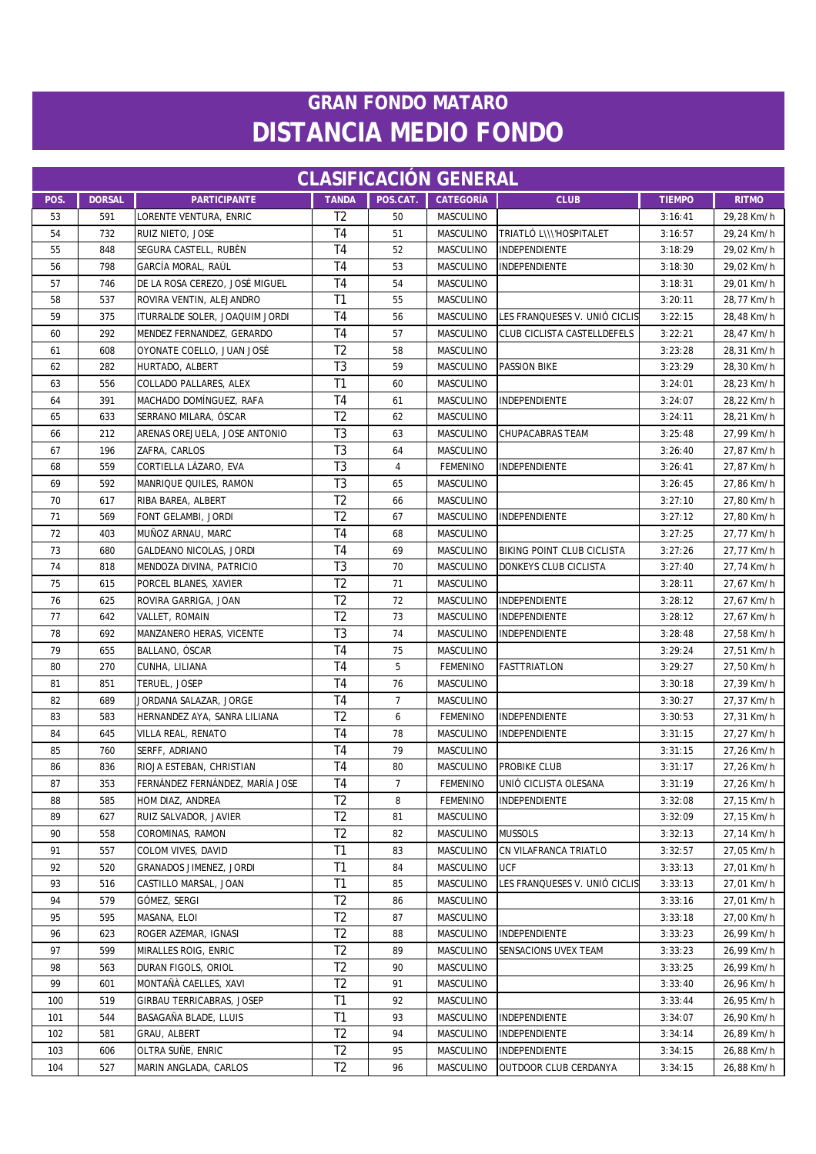| <b>CLASIFICACIÓN GENERAL</b> |               |                                 |                |                |                  |                                    |               |              |  |
|------------------------------|---------------|---------------------------------|----------------|----------------|------------------|------------------------------------|---------------|--------------|--|
| POS.                         | <b>DORSAL</b> | <b>PARTICIPANTE</b>             | <b>TANDA</b>   | POS.CAT.       | <b>CATEGORÍA</b> | <b>CLUB</b>                        | <b>TIEMPO</b> | <b>RITMO</b> |  |
| 53                           | 591           | LORENTE VENTURA, ENRIC          | T <sub>2</sub> | 50             | MASCULINO        |                                    | 3:16:41       | 29,28 Km/h   |  |
| 54                           | 732           | RUIZ NIETO, JOSE                | T <sub>4</sub> | 51             | MASCULINO        | TRIATLÓ L\\\'HOSPITALET            | 3:16:57       | 29,24 Km/h   |  |
| 55                           | 848           | SEGURA CASTELL, RUBÈN           | T <sub>4</sub> | 52             | MASCULINO        | INDEPENDIENTE                      | 3:18:29       | 29,02 Km/h   |  |
| 56                           | 798           | GARCÍA MORAL, RAÚL              | T <sub>4</sub> | 53             | <b>MASCULINO</b> | INDEPENDIENTE                      | 3:18:30       | 29,02 Km/h   |  |
| 57                           | 746           | DE LA ROSA CEREZO, JOSÉ MIGUEL  | T4             | 54             | MASCULINO        |                                    | 3:18:31       | 29,01 Km/h   |  |
| 58                           | 537           | ROVIRA VENTIN, ALEJANDRO        | T1             | 55             | <b>MASCULINO</b> |                                    | 3:20:11       | 28,77 Km/h   |  |
| 59                           | 375           | ITURRALDE SOLER, JOAQUIM JORDI  | T <sub>4</sub> | 56             | MASCULINO        | LES FRANQUESES V. UNIÓ CICLIS      | 3:22:15       | 28,48 Km/h   |  |
| 60                           | 292           | MENDEZ FERNANDEZ, GERARDO       | T4             | 57             | MASCULINO        | <b>CLUB CICLISTA CASTELLDEFELS</b> | 3:22:21       | 28,47 Km/h   |  |
| 61                           | 608           | OYONATE COELLO, JUAN JOSÉ       | T <sub>2</sub> | 58             | MASCULINO        |                                    | 3:23:28       | 28,31 Km/h   |  |
| 62                           | 282           | HURTADO, ALBERT                 | T <sub>3</sub> | 59             | <b>MASCULINO</b> | <b>PASSION BIKE</b>                | 3:23:29       | 28,30 Km/h   |  |
| 63                           | 556           | COLLADO PALLARES, ALEX          | T1             | 60             | MASCULINO        |                                    | 3:24:01       | 28,23 Km/h   |  |
| 64                           | 391           | MACHADO DOMÍNGUEZ, RAFA         | T <sub>4</sub> | 61             | MASCULINO        | INDEPENDIENTE                      | 3:24:07       | 28,22 Km/h   |  |
| 65                           | 633           | SERRANO MILARA, ÓSCAR           | T <sub>2</sub> | 62             | MASCULINO        |                                    | 3:24:11       | 28,21 Km/h   |  |
| 66                           | 212           | ARENAS OREJUELA, JOSE ANTONIO   | T3             | 63             | MASCULINO        | CHUPACABRAS TEAM                   | 3:25:48       | 27,99 Km/h   |  |
| 67                           | 196           | ZAFRA, CARLOS                   | T <sub>3</sub> | 64             | MASCULINO        |                                    | 3:26:40       | 27,87 Km/h   |  |
| 68                           | 559           | CORTIELLA LÁZARO, EVA           | T <sub>3</sub> | 4              | <b>FEMENINO</b>  | INDEPENDIENTE                      | 3:26:41       | 27,87 Km/h   |  |
| 69                           | 592           | MANRIQUE QUILES, RAMON          | T <sub>3</sub> | 65             | MASCULINO        |                                    | 3:26:45       | 27,86 Km/h   |  |
| 70                           | 617           | RIBA BAREA, ALBERT              | T <sub>2</sub> | 66             | MASCULINO        |                                    | 3:27:10       | 27,80 Km/h   |  |
| 71                           | 569           | FONT GELAMBI, JORDI             | T <sub>2</sub> | 67             | MASCULINO        | INDEPENDIENTE                      | 3:27:12       | 27,80 Km/h   |  |
| 72                           | 403           | MUÑOZ ARNAU, MARC               | T <sub>4</sub> | 68             | MASCULINO        |                                    | 3:27:25       | 27,77 Km/h   |  |
| 73                           | 680           | GALDEANO NICOLAS, JORDI         | T <sub>4</sub> | 69             | MASCULINO        | BIKING POINT CLUB CICLISTA         | 3:27:26       | 27,77 Km/h   |  |
| 74                           | 818           | MENDOZA DIVINA, PATRICIO        | T <sub>3</sub> | 70             | MASCULINO        | DONKEYS CLUB CICLISTA              | 3:27:40       | 27,74 Km/h   |  |
| 75                           | 615           | PORCEL BLANES, XAVIER           | T <sub>2</sub> | 71             | MASCULINO        |                                    | 3:28:11       | 27,67 Km/h   |  |
| 76                           | 625           | ROVIRA GARRIGA, JOAN            | T <sub>2</sub> | 72             | MASCULINO        | INDEPENDIENTE                      | 3:28:12       | 27,67 Km/h   |  |
| 77                           | 642           | VALLET, ROMAIN                  | T <sub>2</sub> | 73             | MASCULINO        | INDEPENDIENTE                      | 3:28:12       | 27,67 Km/h   |  |
| 78                           | 692           | MANZANERO HERAS, VICENTE        | T <sub>3</sub> | 74             | MASCULINO        | INDEPENDIENTE                      | 3:28:48       | 27,58 Km/h   |  |
| 79                           | 655           | BALLANO, ÓSCAR                  | T <sub>4</sub> | 75             | MASCULINO        |                                    | 3:29:24       | 27,51 Km/h   |  |
| 80                           | 270           | CUNHA, LILIANA                  | T <sub>4</sub> | 5              | <b>FEMENINO</b>  | <b>FASTTRIATLON</b>                | 3:29:27       | 27,50 Km/h   |  |
| 81                           | 851           | TERUEL, JOSEP                   | T <sub>4</sub> | 76             | MASCULINO        |                                    | 3:30:18       | 27,39 Km/h   |  |
| 82                           | 689           | JORDANA SALAZAR, JORGE          | T <sub>4</sub> | $\overline{7}$ | MASCULINO        |                                    | 3:30:27       | 27,37 Km/h   |  |
| 83                           | 583           | HERNANDEZ AYA, SANRA LILIANA    | T <sub>2</sub> | 6              | <b>FEMENINO</b>  | INDEPENDIENTE                      | 3:30:53       | 27,31 Km/h   |  |
| 84                           | 645           | VILLA REAL, RENATO              | T4             | 78             | MASCULINO        | <b>INDEPENDIENTE</b>               | 3:31:15       | 27,27 Km/h   |  |
| 85                           | 760           | SERFF, ADRIANO                  | T <sub>4</sub> | 79             | MASCULINO        |                                    | 3:31:15       | 27,26 Km/h   |  |
| 86                           | 836           | RIOJA ESTEBAN, CHRISTIAN        | T <sub>4</sub> | 80             | <b>MASCULINO</b> | PROBIKE CLUB                       | 3:31:17       | 27,26 Km/h   |  |
| 87                           | 353           | FERNÁNDEZ FERNÁNDEZ, MARÍA JOSE | T <sub>4</sub> | $\overline{7}$ | FEMENINO         | UNIÓ CICLISTA OLESANA              | 3:31:19       | 27,26 Km/h   |  |
| 88                           | 585           | HOM DIAZ, ANDREA                | T <sub>2</sub> | 8              | <b>FEMENINO</b>  | INDEPENDIENTE                      | 3:32:08       | 27,15 Km/h   |  |
| 89                           | 627           | RUIZ SALVADOR, JAVIER           | T <sub>2</sub> | 81             | MASCULINO        |                                    | 3:32:09       | 27,15 Km/h   |  |
| 90                           | 558           | COROMINAS, RAMON                | T <sub>2</sub> | 82             | MASCULINO        | <b>MUSSOLS</b>                     | 3:32:13       | 27,14 Km/h   |  |
| 91                           | 557           | COLOM VIVES, DAVID              | T1             | 83             | MASCULINO        | CN VILAFRANCA TRIATLO              | 3:32:57       | 27,05 Km/h   |  |
| 92                           | 520           | GRANADOS JIMENEZ, JORDI         | T1             | 84             | MASCULINO        | UCF                                | 3:33:13       | 27,01 Km/h   |  |
| 93                           | 516           | CASTILLO MARSAL, JOAN           | T1             | 85             | MASCULINO        | LES FRANQUESES V. UNIÓ CICLIS      | 3:33:13       | 27,01 Km/h   |  |
| 94                           | 579           | GÓMEZ, SERGI                    | T <sub>2</sub> | 86             | MASCULINO        |                                    | 3:33:16       | 27,01 Km/h   |  |
| 95                           | 595           | MASANA, ELOI                    | T <sub>2</sub> | 87             | MASCULINO        |                                    | 3:33:18       | 27,00 Km/h   |  |
| 96                           | 623           | ROGER AZEMAR, IGNASI            | T <sub>2</sub> | 88             | MASCULINO        | INDEPENDIENTE                      | 3:33:23       | 26,99 Km/h   |  |
| 97                           | 599           | MIRALLES ROIG, ENRIC            | T <sub>2</sub> | 89             | MASCULINO        | SENSACIONS UVEX TEAM               | 3:33:23       | 26,99 Km/h   |  |
| 98                           | 563           | DURAN FIGOLS, ORIOL             | T <sub>2</sub> | 90             | MASCULINO        |                                    | 3:33:25       | 26,99 Km/h   |  |
| 99                           | 601           | MONTAÑÀ CAELLES, XAVI           | T <sub>2</sub> | 91             | MASCULINO        |                                    | 3:33:40       | 26,96 Km/h   |  |
| 100                          | 519           | GIRBAU TERRICABRAS, JOSEP       | T1             | 92             | MASCULINO        |                                    | 3:33:44       | 26,95 Km/h   |  |
| 101                          | 544           | BASAGAÑA BLADE, LLUIS           | T <sub>1</sub> | 93             | MASCULINO        | INDEPENDIENTE                      | 3:34:07       | 26,90 Km/h   |  |
| 102                          | 581           | GRAU, ALBERT                    | T <sub>2</sub> | 94             | MASCULINO        | INDEPENDIENTE                      | 3:34:14       | 26,89 Km/h   |  |
| 103                          | 606           | OLTRA SUÑE, ENRIC               | T <sub>2</sub> | 95             | MASCULINO        | INDEPENDIENTE                      | 3:34:15       | 26,88 Km/h   |  |
| 104                          | 527           | MARIN ANGLADA, CARLOS           | T <sub>2</sub> | 96             | MASCULINO        | OUTDOOR CLUB CERDANYA              | 3:34:15       | 26,88 Km/h   |  |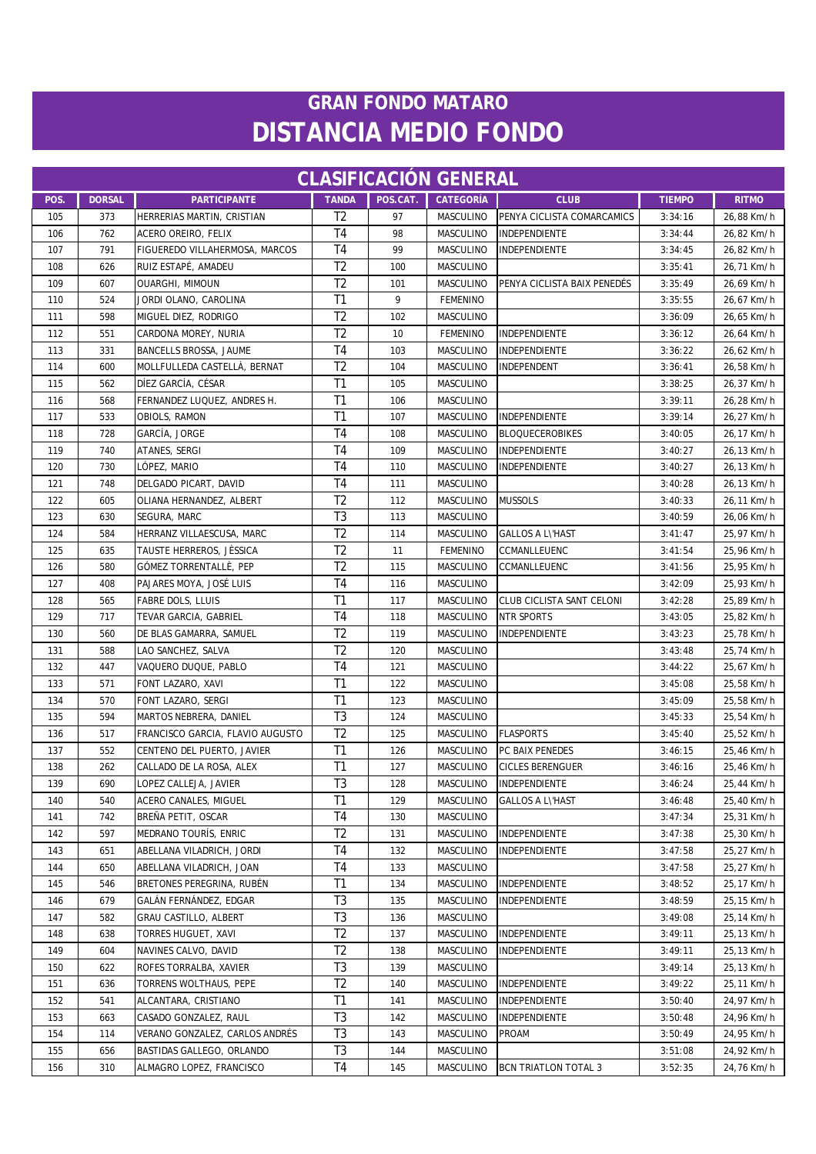| <b>CLASIFICACION GENERAL</b> |               |                                  |                 |            |                  |                             |               |                          |  |
|------------------------------|---------------|----------------------------------|-----------------|------------|------------------|-----------------------------|---------------|--------------------------|--|
| POS.                         | <b>DORSAL</b> | <b>PARTICIPANTE</b>              | <b>TANDA</b>    | POS.CAT.   | <b>CATEGORÍA</b> | <b>CLUB</b>                 | <b>TIEMPO</b> | <b>RITMO</b>             |  |
| 105                          | 373           | HERRERIAS MARTIN, CRISTIAN       | T <sub>2</sub>  | 97         | MASCULINO        | PENYA CICLISTA COMARCAMICS  | 3:34:16       | 26,88 Km/h               |  |
| 106                          | 762           | ACERO OREIRO, FELIX              | T <sub>4</sub>  | 98         | MASCULINO        | INDEPENDIENTE               | 3:34:44       | 26,82 Km/h               |  |
| 107                          | 791           | FIGUEREDO VILLAHERMOSA, MARCOS   | T4              | 99         | MASCULINO        | INDEPENDIENTE               | 3:34:45       | 26,82 Km/h               |  |
| 108                          | 626           | RUIZ ESTAPÉ, AMADEU              | T <sub>2</sub>  | 100        | <b>MASCULINO</b> |                             | 3:35:41       | 26,71 Km/h               |  |
| 109                          | 607           | OUARGHI, MIMOUN                  | T <sub>2</sub>  | 101        | MASCULINO        | PENYA CICLISTA BAIX PENEDÉS | 3:35:49       | 26,69 Km/h               |  |
| 110                          | 524           | JORDI OLANO, CAROLINA            | T <sub>1</sub>  | 9          | <b>FEMENINO</b>  |                             | 3:35:55       | 26,67 Km/h               |  |
| 111                          | 598           | MIGUEL DIEZ, RODRIGO             | T <sub>2</sub>  | 102        | MASCULINO        |                             | 3:36:09       | 26,65 Km/h               |  |
| 112                          | 551           | CARDONA MOREY, NURIA             | T <sub>2</sub>  | 10         | <b>FEMENINO</b>  | INDEPENDIENTE               | 3:36:12       | 26,64 Km/h               |  |
| 113                          | 331           | BANCELLS BROSSA, JAUME           | T4              | 103        | MASCULINO        | <b>INDEPENDIENTE</b>        | 3:36:22       | 26,62 Km/h               |  |
| 114                          | 600           | MOLLFULLEDA CASTELLÀ, BERNAT     | T <sub>2</sub>  | 104        | MASCULINO        | INDEPENDENT                 | 3:36:41       | 26,58 Km/h               |  |
| 115                          | 562           | DÍEZ GARCÍA, CÉSAR               | T1              | 105        | MASCULINO        |                             | 3:38:25       | 26,37 Km/h               |  |
| 116                          | 568           | FERNANDEZ LUQUEZ, ANDRES H.      | T1              | 106        | MASCULINO        |                             | 3:39:11       | 26,28 Km/h               |  |
| 117                          | 533           | OBIOLS, RAMON                    | T1              | 107        | MASCULINO        | <b>INDEPENDIENTE</b>        | 3:39:14       | 26,27 Km/h               |  |
| 118                          | 728           | GARCÍA, JORGE                    | T <sub>4</sub>  | 108        | MASCULINO        | <b>BLOQUECEROBIKES</b>      | 3:40:05       | 26,17 Km/h               |  |
| 119                          | 740           | ATANES, SERGI                    | T <sub>4</sub>  | 109        | MASCULINO        | INDEPENDIENTE               | 3:40:27       | 26,13 Km/h               |  |
| 120                          | 730           | LÓPEZ, MARIO                     | T <sub>4</sub>  | 110        | MASCULINO        | INDEPENDIENTE               | 3:40:27       | 26,13 Km/h               |  |
| 121                          | 748           | DELGADO PICART, DAVID            | T <sub>4</sub>  | 111        | MASCULINO        |                             | 3:40:28       | 26,13 Km/h               |  |
| 122                          | 605           | OLIANA HERNANDEZ, ALBERT         | T <sub>2</sub>  | 112        | MASCULINO        | <b>MUSSOLS</b>              | 3:40:33       | 26,11 Km/h               |  |
| 123                          | 630           | SEGURA, MARC                     | T <sub>3</sub>  | 113        | MASCULINO        |                             | 3:40:59       | 26,06 Km/h               |  |
| 124                          | 584           | HERRANZ VILLAESCUSA, MARC        | $\overline{12}$ | 114        | <b>MASCULINO</b> | <b>GALLOS A L\'HAST</b>     | 3:41:47       | 25,97 Km/h               |  |
| 125                          | 635           | TAUSTE HERREROS, JÈSSICA         | T <sub>2</sub>  | 11         | <b>FEMENINO</b>  | CCMANLLEUENC                | 3:41:54       | 25,96 Km/h               |  |
| 126                          | 580           | GÓMEZ TORRENTALLÈ, PEP           | T <sub>2</sub>  | 115        | MASCULINO        | CCMANLLEUENC                | 3:41:56       | 25,95 Km/h               |  |
| 127                          | 408           | PAJARES MOYA, JOSÉ LUIS          | T <sub>4</sub>  | 116        | MASCULINO        |                             | 3:42:09       | 25,93 Km/h               |  |
| 128                          | 565           | FABRE DOLS, LLUIS                | T <sub>1</sub>  | 117        | MASCULINO        | CLUB CICLISTA SANT CELONI   | 3:42:28       | 25,89 Km/h               |  |
| 129                          | 717           | TEVAR GARCIA, GABRIEL            | T <sub>4</sub>  | 118        | MASCULINO        | <b>NTR SPORTS</b>           | 3:43:05       | 25,82 Km/h               |  |
| 130                          | 560           | DE BLAS GAMARRA, SAMUEL          | T <sub>2</sub>  | 119        | MASCULINO        | INDEPENDIENTE               | 3:43:23       | 25,78 Km/h               |  |
| 131                          | 588           | LAO SANCHEZ, SALVA               | T <sub>2</sub>  | 120        | MASCULINO        |                             | 3:43:48       | 25,74 Km/h               |  |
| 132                          | 447           | VAQUERO DUQUE, PABLO             | T4              | 121        | MASCULINO        |                             | 3:44:22       | 25,67 Km/h               |  |
| 133                          | 571           | FONT LAZARO, XAVI                | T <sub>1</sub>  | 122        | MASCULINO        |                             | 3:45:08       | 25,58 Km/h               |  |
| 134                          | 570           | FONT LAZARO, SERGI               | T <sub>1</sub>  | 123        | MASCULINO        |                             | 3:45:09       | 25,58 Km/h               |  |
| 135                          | 594           | MARTOS NEBRERA, DANIEL           | T <sub>3</sub>  | 124        | MASCULINO        |                             | 3:45:33       | 25,54 Km/h               |  |
| 136                          | 517           | FRANCISCO GARCIA, FLAVIO AUGUSTO | T <sub>2</sub>  | 125        | <b>MASCULINO</b> | <b>FLASPORTS</b>            | 3:45:40       | 25,52 Km/h               |  |
| 137                          | 552           | CENTENO DEL PUERTO, JAVIER       | T <sub>1</sub>  | 126        | <b>MASCULINO</b> | PC BAIX PENEDES             | 3:46:15       | 25,46 Km/h               |  |
| 138                          | 262           | CALLADO DE LA ROSA, ALEX         | T <sub>1</sub>  | 127        | MASCULINO        | <b>CICLES BERENGUER</b>     | 3:46:16       | 25,46 Km/h               |  |
| 139                          | 690           | LOPEZ CALLEJA, JAVIER            | T <sub>3</sub>  | 128        | MASCULINO        | INDEPENDIENTE               | 3:46:24       | 25,44 Km/h               |  |
| 140                          | 540           | ACERO CANALES, MIGUEL            | T <sub>1</sub>  | 129        | MASCULINO        | <b>GALLOS A L\'HAST</b>     | 3:46:48       | 25,40 Km/h               |  |
| 141                          | 742           | BREÑA PETIT, OSCAR               | T4              | 130        | MASCULINO        |                             | 3:47:34       | 25,31 Km/h               |  |
| 142                          | 597           | MEDRANO TOURÍS, ENRIC            | T <sub>2</sub>  | 131        | MASCULINO        | INDEPENDIENTE               | 3:47:38       | 25,30 Km/h               |  |
| 143                          | 651           | ABELLANA VILADRICH, JORDI        | T4              | 132        | MASCULINO        | INDEPENDIENTE               | 3:47:58       | 25,27 Km/h               |  |
| 144                          | 650           | ABELLANA VILADRICH, JOAN         | T4              | 133        | MASCULINO        |                             | 3:47:58       | 25,27 Km/h               |  |
| 145                          | 546           | BRETONES PEREGRINA, RUBÉN        | T1              | 134        | MASCULINO        | INDEPENDIENTE               | 3:48:52       | 25,17 Km/h               |  |
| 146                          | 679           | GALÁN FERNÁNDEZ, EDGAR           | T <sub>3</sub>  | 135        | MASCULINO        | INDEPENDIENTE               | 3:48:59       | 25,15 Km/h               |  |
| 147                          | 582           | GRAU CASTILLO, ALBERT            | T <sub>3</sub>  | 136        | MASCULINO        |                             | 3:49:08       | 25,14 Km/h               |  |
| 148                          | 638           | TORRES HUGUET, XAVI              | T <sub>2</sub>  | 137        | MASCULINO        | INDEPENDIENTE               | 3:49:11       | 25,13 Km/h               |  |
| 149                          | 604           | NAVINES CALVO, DAVID             | T <sub>2</sub>  | 138        | MASCULINO        | INDEPENDIENTE               | 3:49:11       | 25,13 Km/h               |  |
| 150                          | 622           | ROFES TORRALBA, XAVIER           | T <sub>3</sub>  | 139        | MASCULINO        |                             | 3:49:14       | 25,13 Km/h               |  |
| 151                          | 636           | TORRENS WOLTHAUS, PEPE           | T <sub>2</sub>  | 140        | <b>MASCULINO</b> | INDEPENDIENTE               | 3:49:22       | 25,11 Km/h               |  |
|                              |               | ALCANTARA, CRISTIANO             | T1              |            | MASCULINO        | INDEPENDIENTE               | 3:50:40       |                          |  |
| 152<br>153                   | 541<br>663    | CASADO GONZALEZ, RAUL            | T <sub>3</sub>  | 141<br>142 | MASCULINO        | INDEPENDIENTE               | 3:50:48       | 24,97 Km/h<br>24,96 Km/h |  |
| 154                          | 114           | VERANO GONZALEZ, CARLOS ANDRÉS   | T <sub>3</sub>  | 143        | MASCULINO        | <b>PROAM</b>                | 3:50:49       | 24,95 Km/h               |  |
| 155                          | 656           | BASTIDAS GALLEGO, ORLANDO        | T <sub>3</sub>  | 144        | MASCULINO        |                             | 3:51:08       | 24,92 Km/h               |  |
| 156                          | 310           | ALMAGRO LOPEZ, FRANCISCO         | T <sub>4</sub>  | 145        | <b>MASCULINO</b> | <b>BCN TRIATLON TOTAL 3</b> | 3:52:35       | 24,76 Km/h               |  |
|                              |               |                                  |                 |            |                  |                             |               |                          |  |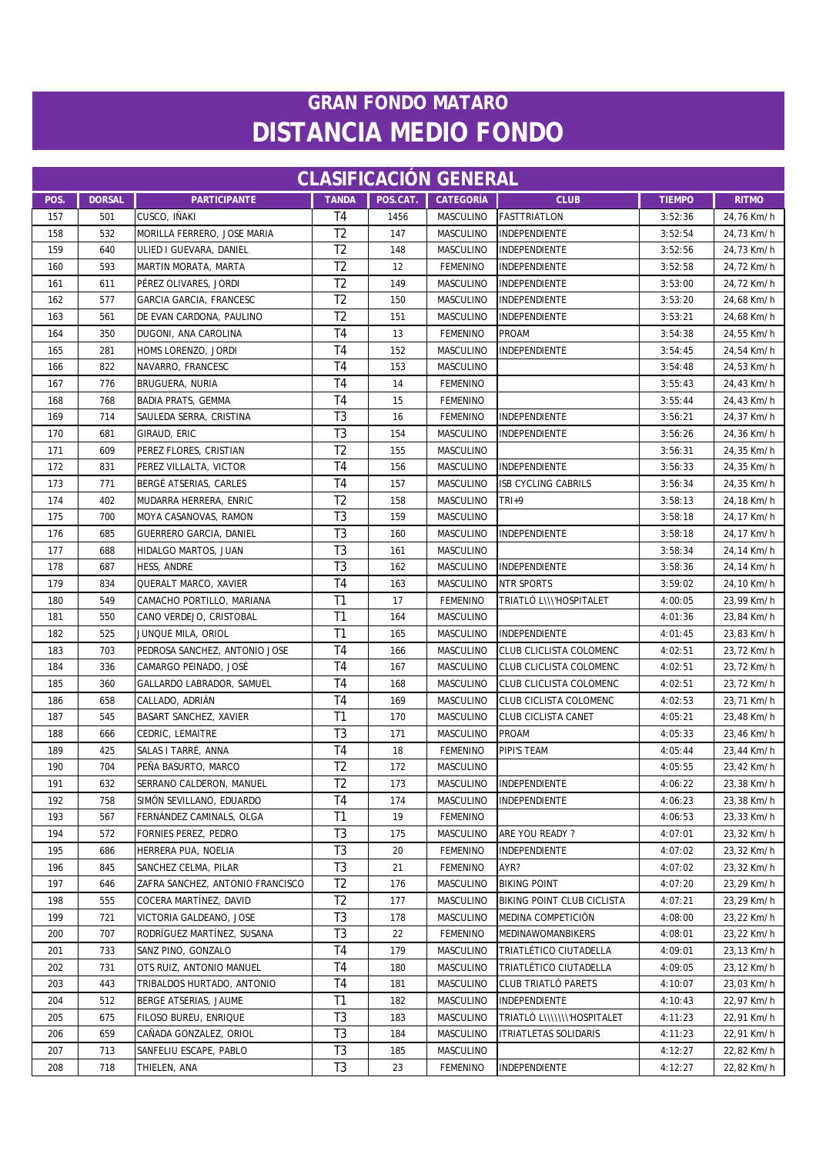| <b>CLASIFICACIÓN GENERAL</b> |               |                                  |                 |          |                  |                              |               |              |
|------------------------------|---------------|----------------------------------|-----------------|----------|------------------|------------------------------|---------------|--------------|
| POS.                         | <b>DORSAL</b> | <b>PARTICIPANTE</b>              | <b>TANDA</b>    | POS.CAT. | <b>CATEGORÍA</b> | <b>CLUB</b>                  | <b>TIEMPO</b> | <b>RITMO</b> |
| 157                          | 501           | CUSCO, IÑAKI                     | T <sub>4</sub>  | 1456     | MASCULINO        | <b>FASTTRIATLON</b>          | 3:52:36       | 24,76 Km/h   |
| 158                          | 532           | MORILLA FERRERO, JOSE MARIA      | T <sub>2</sub>  | 147      | MASCULINO        | <b>INDEPENDIENTE</b>         | 3:52:54       | 24,73 Km/h   |
| 159                          | 640           | ULIED I GUEVARA, DANIEL          | T <sub>2</sub>  | 148      | <b>MASCULINO</b> | <b>INDEPENDIENTE</b>         | 3:52:56       | 24,73 Km/h   |
| 160                          | 593           | MARTIN MORATA, MARTA             | T <sub>2</sub>  | 12       | <b>FEMENINO</b>  | INDEPENDIENTE                | 3:52:58       | 24,72 Km/h   |
| 161                          | 611           | PÉREZ OLIVARES, JORDI            | T <sub>2</sub>  | 149      | MASCULINO        | INDEPENDIENTE                | 3:53:00       | 24,72 Km/h   |
| 162                          | 577           | GARCIA GARCIA, FRANCESC          | T <sub>2</sub>  | 150      | <b>MASCULINO</b> | INDEPENDIENTE                | 3:53:20       | 24,68 Km/h   |
| 163                          | 561           | DE EVAN CARDONA, PAULINO         | T <sub>2</sub>  | 151      | MASCULINO        | INDEPENDIENTE                | 3:53:21       | 24,68 Km/h   |
| 164                          | 350           | DUGONI, ANA CAROLINA             | T <sub>4</sub>  | 13       | <b>FEMENINO</b>  | <b>PROAM</b>                 | 3:54:38       | 24,55 Km/h   |
| 165                          | 281           | HOMS LORENZO, JORDI              | T <sub>4</sub>  | 152      | MASCULINO        | <b>INDEPENDIENTE</b>         | 3:54:45       | 24,54 Km/h   |
| 166                          | 822           | NAVARRO, FRANCESC                | T <sub>4</sub>  | 153      | <b>MASCULINO</b> |                              | 3:54:48       | 24,53 Km/h   |
| 167                          | 776           | BRUGUERA, NURIA                  | T <sub>4</sub>  | 14       | <b>FEMENINO</b>  |                              | 3:55:43       | 24,43 Km/h   |
| 168                          | 768           | <b>BADIA PRATS, GEMMA</b>        | T <sub>4</sub>  | 15       | <b>FEMENINO</b>  |                              | 3:55:44       | 24,43 Km/h   |
| 169                          | 714           | SAULEDA SERRA, CRISTINA          | T <sub>3</sub>  | 16       | <b>FEMENINO</b>  | INDEPENDIENTE                | 3:56:21       | 24,37 Km/h   |
| 170                          | 681           | GIRAUD, ERIC                     | T <sub>3</sub>  | 154      | MASCULINO        | INDEPENDIENTE                | 3:56:26       | 24,36 Km/h   |
| 171                          | 609           | PEREZ FLORES, CRISTIAN           | T <sub>2</sub>  | 155      | MASCULINO        |                              | 3:56:31       | 24,35 Km/h   |
| 172                          | 831           | PEREZ VILLALTA, VICTOR           | T <sub>4</sub>  | 156      | <b>MASCULINO</b> | INDEPENDIENTE                | 3:56:33       | 24,35 Km/h   |
| 173                          | 771           | BERGÉ ATSERIAS, CARLES           | T <sub>4</sub>  | 157      | MASCULINO        | <b>ISB CYCLING CABRILS</b>   | 3:56:34       | 24,35 Km/h   |
| 174                          | 402           | MUDARRA HERRERA, ENRIC           | T <sub>2</sub>  | 158      | MASCULINO        | TRI+9                        | 3:58:13       | 24,18 Km/h   |
| 175                          | 700           | MOYA CASANOVAS, RAMON            | T <sub>3</sub>  | 159      | <b>MASCULINO</b> |                              | 3:58:18       | 24,17 Km/h   |
| 176                          | 685           | GUERRERO GARCIA, DANIEL          | T3              | 160      | MASCULINO        | <b>INDEPENDIENTE</b>         | 3:58:18       | 24,17 Km/h   |
| 177                          | 688           | HIDALGO MARTOS, JUAN             | T3              | 161      | <b>MASCULINO</b> |                              | 3:58:34       | 24,14 Km/h   |
| 178                          | 687           | HESS, ANDRE                      | T <sub>3</sub>  | 162      | <b>MASCULINO</b> | INDEPENDIENTE                | 3:58:36       | 24,14 Km/h   |
| 179                          | 834           | QUERALT MARCO, XAVIER            | T <sub>4</sub>  | 163      | <b>MASCULINO</b> | <b>NTR SPORTS</b>            | 3:59:02       | 24,10 Km/h   |
| 180                          | 549           | CAMACHO PORTILLO, MARIANA        | T1              | 17       | <b>FEMENINO</b>  | TRIATLÓ L\\\'HOSPITALET      | 4:00:05       | 23,99 Km/h   |
| 181                          | 550           | CANO VERDEJO, CRISTOBAL          | T1              | 164      | MASCULINO        |                              | 4:01:36       | 23,84 Km/h   |
| 182                          | 525           | JUNQUE MILA, ORIOL               | T1              | 165      | MASCULINO        | INDEPENDIENTE                | 4:01:45       | 23,83 Km/h   |
| 183                          | 703           | PEDROSA SANCHEZ, ANTONIO JOSE    | T <sub>4</sub>  | 166      | MASCULINO        | CLUB CLICLISTA COLOMENC      | 4:02:51       | 23,72 Km/h   |
| 184                          | 336           | CAMARGO PEINADO, JOSÉ            | T4              | 167      | MASCULINO        | CLUB CLICLISTA COLOMENC      | 4:02:51       | 23,72 Km/h   |
| 185                          | 360           | GALLARDO LABRADOR, SAMUEL        | T4              | 168      | MASCULINO        | CLUB CLICLISTA COLOMENC      | 4:02:51       | 23,72 Km/h   |
| 186                          | 658           | CALLADO, ADRIAN                  | T4              | 169      | <b>MASCULINO</b> | CLUB CICLISTA COLOMENC       | 4:02:53       | 23,71 Km/h   |
| 187                          | 545           | BASART SANCHEZ, XAVIER           | T1              | 170      | MASCULINO        | <b>CLUB CICLISTA CANET</b>   | 4:05:21       | 23,48 Km/h   |
| 188                          | 666           | CEDRIC, LEMAITRE                 | T <sub>3</sub>  | 171      | MASCULINO        | <b>PROAM</b>                 | 4:05:33       | 23,46 Km/h   |
| 189                          | 425           | SALAS I TARRÉ, ANNA              | T <sub>4</sub>  | 18       | <b>FEMENINO</b>  | PIPI'S TEAM                  | 4:05:44       | 23,44 Km/h   |
| 190                          | 704           | PEÑA BASURTO, MARCO              | T <sub>2</sub>  | 172      | <b>MASCULINO</b> |                              | 4:05:55       | 23,42 Km/h   |
| 191                          | 632           | SERRANO CALDERON, MANUEL         | $\overline{12}$ | 173      |                  | MASCULINO   INDEPENDIENTE    | 4:06:22       | 23,38 Km/h   |
| 192                          | 758           | SIMÓN SEVILLANO, EDUARDO         | T <sub>4</sub>  | 174      | <b>MASCULINO</b> | <b>INDEPENDIENTE</b>         | 4:06:23       | 23,38 Km/h   |
| 193                          | 567           | FERNÁNDEZ CAMINALS, OLGA         | T1              | 19       | <b>FEMENINO</b>  |                              | 4:06:53       | 23,33 Km/h   |
| 194                          | 572           | FORNIES PEREZ, PEDRO             | T3              | 175      | MASCULINO        | ARE YOU READY ?              | 4:07:01       | 23,32 Km/h   |
| 195                          | 686           | HERRERA PUA, NOELIA              | T <sub>3</sub>  | 20       | <b>FEMENINO</b>  | INDEPENDIENTE                | 4:07:02       | 23,32 Km/h   |
| 196                          | 845           | SANCHEZ CELMA, PILAR             | T <sub>3</sub>  | 21       | <b>FEMENINO</b>  | AYR?                         | 4:07:02       | 23,32 Km/h   |
| 197                          | 646           | ZAFRA SANCHEZ, ANTONIO FRANCISCO | T <sub>2</sub>  | 176      | MASCULINO        | <b>BIKING POINT</b>          | 4:07:20       | 23,29 Km/h   |
| 198                          | 555           | COCERA MARTÍNEZ, DAVID           | T <sub>2</sub>  | 177      | <b>MASCULINO</b> | BIKING POINT CLUB CICLISTA   | 4:07:21       | 23,29 Km/h   |
| 199                          | 721           | VICTORIA GALDEANO, JOSE          | T <sub>3</sub>  | 178      | MASCULINO        | MEDINA COMPETICIÓN           | 4:08:00       | 23,22 Km/h   |
| 200                          | 707           | RODRÍGUEZ MARTÍNEZ, SUSANA       | T <sub>3</sub>  | 22       | <b>FEMENINO</b>  | <b>MEDINAWOMANBIKERS</b>     | 4:08:01       | 23,22 Km/h   |
| 201                          | 733           | SANZ PINO, GONZALO               | T <sub>4</sub>  | 179      | MASCULINO        | TRIATLÉTICO CIUTADELLA       | 4:09:01       | 23,13 Km/h   |
| 202                          | 731           | OTS RUIZ, ANTONIO MANUEL         | T4              | 180      | MASCULINO        | TRIATLÉTICO CIUTADELLA       | 4:09:05       | 23,12 Km/h   |
| 203                          | 443           | TRIBALDOS HURTADO, ANTONIO       | T <sub>4</sub>  | 181      | MASCULINO        | CLUB TRIATLÓ PARETS          | 4:10:07       | 23,03 Km/h   |
| 204                          | 512           | BERGE ATSERIAS, JAUME            | T1              | 182      | MASCULINO        | INDEPENDIENTE                | 4:10:43       | 22,97 Km/h   |
| 205                          | 675           | FILOSO BUREU, ENRIQUE            | T <sub>3</sub>  | 183      | MASCULINO        | TRIATLÓ L\\\\\\\'HOSPITALET  | 4:11:23       | 22,91 Km/h   |
| 206                          | 659           | CAÑADA GONZALEZ, ORIOL           | T <sub>3</sub>  | 184      | MASCULINO        | <b>ITRIATLETAS SOLIDARIS</b> | 4:11:23       | 22,91 Km/h   |
| 207                          | 713           | SANFELIU ESCAPE, PABLO           | T <sub>3</sub>  | 185      | MASCULINO        |                              | 4:12:27       | 22,82 Km/h   |
| 208                          | 718           | THIELEN, ANA                     | T <sub>3</sub>  | 23       | <b>FEMENINO</b>  | INDEPENDIENTE                | 4:12:27       | 22,82 Km/h   |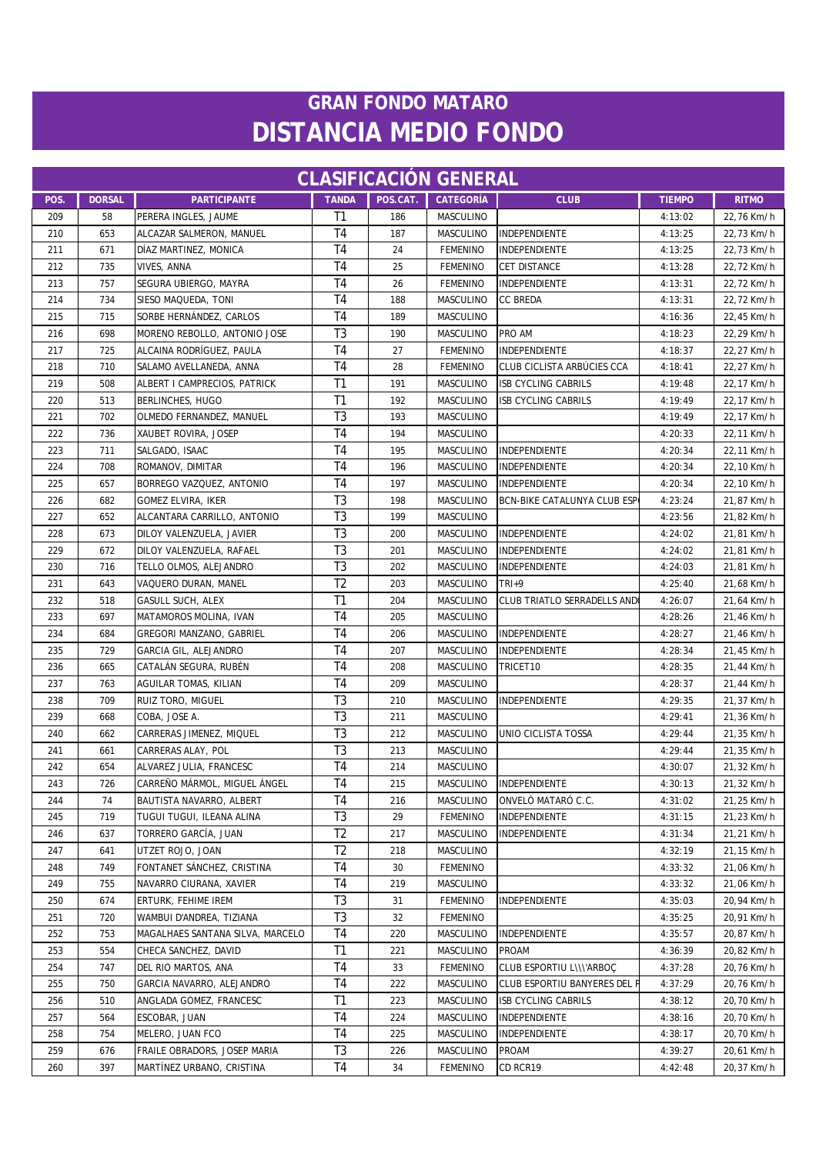| <b>CLASIFICACION GENERAL</b> |               |                                  |                |          |                  |                                    |               |              |
|------------------------------|---------------|----------------------------------|----------------|----------|------------------|------------------------------------|---------------|--------------|
| POS.                         | <b>DORSAL</b> | <b>PARTICIPANTE</b>              | <b>TANDA</b>   | POS.CAT. | <b>CATEGORÍA</b> | <b>CLUB</b>                        | <b>TIEMPO</b> | <b>RITMO</b> |
| 209                          | 58            | PERERA INGLES, JAUME             | T1             | 186      | MASCULINO        |                                    | 4:13:02       | 22,76 Km/h   |
| 210                          | 653           | ALCAZAR SALMERON, MANUEL         | T4             | 187      | MASCULINO        | INDEPENDIENTE                      | 4:13:25       | 22,73 Km/h   |
| 211                          | 671           | DÍAZ MARTINEZ, MONICA            | T4             | 24       | <b>FEMENINO</b>  | INDEPENDIENTE                      | 4:13:25       | 22,73 Km/h   |
| 212                          | 735           | VIVES, ANNA                      | T <sub>4</sub> | 25       | <b>FEMENINO</b>  | <b>CET DISTANCE</b>                | 4:13:28       | 22,72 Km/h   |
| 213                          | 757           | SEGURA UBIERGO, MAYRA            | T <sub>4</sub> | 26       | <b>FEMENINO</b>  | INDEPENDIENTE                      | 4:13:31       | 22,72 Km/h   |
| 214                          | 734           | SIESO MAQUEDA, TONI              | T <sub>4</sub> | 188      | MASCULINO        | <b>CC BREDA</b>                    | 4:13:31       | 22,72 Km/h   |
| 215                          | 715           | SORBE HERNÁNDEZ, CARLOS          | T <sub>4</sub> | 189      | MASCULINO        |                                    | 4:16:36       | 22,45 Km/h   |
| 216                          | 698           | MORENO REBOLLO, ANTONIO JOSE     | T <sub>3</sub> | 190      | <b>MASCULINO</b> | PRO AM                             | 4:18:23       | 22,29 Km/h   |
| 217                          | 725           | ALCAINA RODRÍGUEZ. PAULA         | T <sub>4</sub> | 27       | <b>FEMENINO</b>  | INDEPENDIENTE                      | 4:18:37       | 22,27 Km/h   |
| 218                          | 710           | SALAMO AVELLANEDA, ANNA          | T <sub>4</sub> | 28       | <b>FEMENINO</b>  | CLUB CICLISTA ARBÚCIES CCA         | 4:18:41       | 22,27 Km/h   |
| 219                          | 508           | ALBERT I CAMPRECIOS, PATRICK     | T1             | 191      | MASCULINO        | <b>ISB CYCLING CABRILS</b>         | 4:19:48       | 22,17 Km/h   |
| 220                          | 513           | BERLINCHES, HUGO                 | T1             | 192      | <b>MASCULINO</b> | <b>ISB CYCLING CABRILS</b>         | 4:19:49       | 22,17 Km/h   |
| 221                          | 702           | OLMEDO FERNANDEZ, MANUEL         | T <sub>3</sub> | 193      | MASCULINO        |                                    | 4:19:49       | 22,17 Km/h   |
| 222                          | 736           | XAUBET ROVIRA, JOSEP             | T <sub>4</sub> | 194      | <b>MASCULINO</b> |                                    | 4:20:33       | 22,11 Km/h   |
| 223                          | 711           | SALGADO, ISAAC                   | T <sub>4</sub> | 195      | MASCULINO        | INDEPENDIENTE                      | 4:20:34       | 22,11 Km/h   |
| 224                          | 708           | ROMANOV, DIMITAR                 | T <sub>4</sub> | 196      | <b>MASCULINO</b> | INDEPENDIENTE                      | 4:20:34       | 22,10 Km/h   |
| 225                          | 657           | BORREGO VAZQUEZ, ANTONIO         | T <sub>4</sub> | 197      | MASCULINO        | INDEPENDIENTE                      | 4:20:34       | 22,10 Km/h   |
| 226                          | 682           | GOMEZ ELVIRA, IKER               | T <sub>3</sub> | 198      | MASCULINO        | <b>BCN-BIKE CATALUNYA CLUB ESP</b> | 4:23:24       | 21,87 Km/h   |
| 227                          | 652           | ALCANTARA CARRILLO, ANTONIO      | T <sub>3</sub> | 199      | <b>MASCULINO</b> |                                    | 4:23:56       | 21,82 Km/h   |
| 228                          | 673           | DILOY VALENZUELA, JAVIER         | T <sub>3</sub> | 200      | MASCULINO        | INDEPENDIENTE                      | 4:24:02       | 21,81 Km/h   |
| 229                          | 672           | DILOY VALENZUELA, RAFAEL         | T <sub>3</sub> | 201      | <b>MASCULINO</b> | INDEPENDIENTE                      | 4:24:02       | 21,81 Km/h   |
| 230                          | 716           | TELLO OLMOS, ALEJANDRO           | T <sub>3</sub> | 202      | MASCULINO        | INDEPENDIENTE                      | 4:24:03       | 21,81 Km/h   |
| 231                          | 643           | VAQUERO DURAN, MANEL             | T <sub>2</sub> | 203      | MASCULINO        | TRI+9                              | 4:25:40       | 21,68 Km/h   |
| 232                          | 518           | GASULL SUCH, ALEX                | T1             | 204      | MASCULINO        | CLUB TRIATLO SERRADELLS AND        | 4:26:07       | 21,64 Km/h   |
| 233                          | 697           | MATAMOROS MOLINA, IVAN           | T4             | 205      | <b>MASCULINO</b> |                                    | 4:28:26       | 21,46 Km/h   |
| 234                          | 684           | GREGORI MANZANO, GABRIEL         | T <sub>4</sub> | 206      | MASCULINO        | INDEPENDIENTE                      | 4:28:27       | 21,46 Km/h   |
| 235                          | 729           | GARCIA GIL, ALEJANDRO            | T <sub>4</sub> | 207      | MASCULINO        | INDEPENDIENTE                      | 4:28:34       | 21,45 Km/h   |
| 236                          | 665           | CATALÁN SEGURA, RUBÉN            | T4             | 208      | <b>MASCULINO</b> | TRICET10                           | 4:28:35       | 21,44 Km/h   |
| 237                          | 763           | AGUILAR TOMAS, KILIAN            | T4             | 209      | MASCULINO        |                                    | 4:28:37       | 21,44 Km/h   |
| 238                          | 709           | RUIZ TORO, MIGUEL                | T3             | 210      | MASCULINO        | INDEPENDIENTE                      | 4:29:35       | 21,37 Km/h   |
| 239                          | 668           | COBA, JOSE A.                    | T <sub>3</sub> | 211      | <b>MASCULINO</b> |                                    | 4:29:41       | 21,36 Km/h   |
| 240                          | 662           | CARRERAS JIMENEZ, MIQUEL         | T <sub>3</sub> | 212      | MASCULINO        | UNIO CICLISTA TOSSA                | 4:29:44       | 21,35 Km/h   |
| 241                          | 661           | CARRERAS ALAY, POL               | T <sub>3</sub> | 213      | MASCULINO        |                                    | 4:29:44       | 21,35 Km/h   |
| 242                          | 654           | ALVAREZ JULIA, FRANCESC          | T <sub>4</sub> | 214      | <b>MASCULINO</b> |                                    | 4:30:07       | 21,32 Km/h   |
| 243                          | 726           | CARREÑO MÁRMOL, MIGUEL ÁNGEL     | T <sub>4</sub> | 215      |                  | MASCULINO INDEPENDIENTE            | 4:30:13       | 21,32 Km/h   |
| 244                          | 74            | BAUTISTA NAVARRO, ALBERT         | T4             | 216      | <b>MASCULINO</b> | ONVELÓ MATARÓ C.C.                 | 4:31:02       | 21,25 Km/h   |
| 245                          | 719           | TUGUI TUGUI, ILEANA ALINA        | T3             | 29       | <b>FEMENINO</b>  | INDEPENDIENTE                      | 4:31:15       | 21,23 Km/h   |
| 246                          | 637           | TORRERO GARCÍA, JUAN             | T <sub>2</sub> | 217      | MASCULINO        | INDEPENDIENTE                      | 4:31:34       | 21,21 Km/h   |
| 247                          | 641           | UTZET ROJO, JOAN                 | T <sub>2</sub> | 218      | MASCULINO        |                                    | 4:32:19       | 21,15 Km/h   |
| 248                          | 749           | FONTANET SÁNCHEZ, CRISTINA       | T4             | 30       | <b>FEMENINO</b>  |                                    | 4:33:32       | 21,06 Km/h   |
| 249                          | 755           | NAVARRO CIURANA, XAVIER          | T4             | 219      | MASCULINO        |                                    | 4:33:32       | 21,06 Km/h   |
| 250                          | 674           | ERTURK, FEHIME IREM              | T3             | 31       | <b>FEMENINO</b>  | INDEPENDIENTE                      | 4:35:03       | 20,94 Km/h   |
| 251                          | 720           | WAMBUI D'ANDREA, TIZIANA         | T3             | 32       | <b>FEMENINO</b>  |                                    | 4:35:25       | 20,91 Km/h   |
| 252                          | 753           | MAGALHAES SANTANA SILVA, MARCELO | T <sub>4</sub> | 220      | MASCULINO        | INDEPENDIENTE                      | 4:35:57       | 20,87 Km/h   |
| 253                          | 554           | CHECA SANCHEZ, DAVID             | T1             | 221      | <b>MASCULINO</b> | <b>PROAM</b>                       | 4:36:39       | 20,82 Km/h   |
| 254                          | 747           | DEL RIO MARTOS, ANA              | T4             | 33       | <b>FEMENINO</b>  | CLUB ESPORTIU L\\\'ARBOÇ           | 4:37:28       | 20,76 Km/h   |
| 255                          | 750           | GARCIA NAVARRO, ALEJANDRO        | T4             | 222      | MASCULINO        | CLUB ESPORTIU BANYERES DEL F       | 4:37:29       | 20,76 Km/h   |
| 256                          | 510           | ANGLADA GOMEZ, FRANCESC          | T1             | 223      | MASCULINO        | <b>ISB CYCLING CABRILS</b>         | 4:38:12       | 20,70 Km/h   |
| 257                          | 564           | ESCOBAR, JUAN                    | T4             | 224      | <b>MASCULINO</b> | INDEPENDIENTE                      | 4:38:16       | 20,70 Km/h   |
| 258                          | 754           | MELERO, JUAN FCO                 | T <sub>4</sub> | 225      | MASCULINO        | INDEPENDIENTE                      | 4:38:17       | 20,70 Km/h   |
| 259                          | 676           | FRAILE OBRADORS, JOSEP MARIA     | T3             | 226      | MASCULINO        | PROAM                              | 4:39:27       | 20,61 Km/h   |
| 260                          | 397           | MARTÍNEZ URBANO, CRISTINA        | T <sub>4</sub> | 34       | <b>FEMENINO</b>  | CD RCR19                           | 4:42:48       | 20,37 Km/h   |